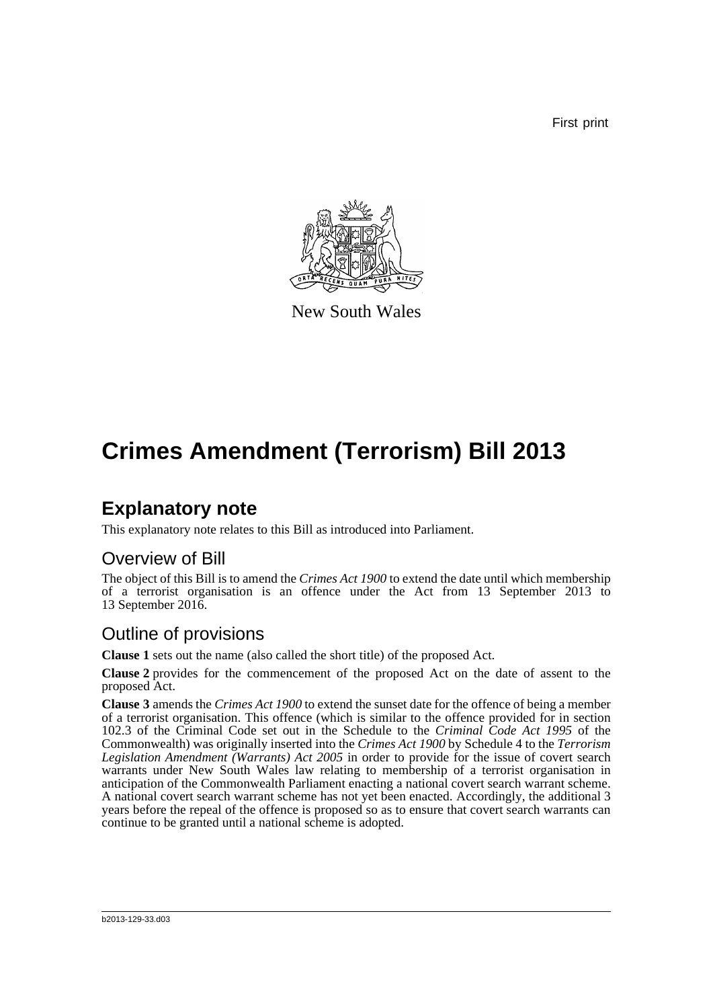First print



New South Wales

## **Crimes Amendment (Terrorism) Bill 2013**

### **Explanatory note**

This explanatory note relates to this Bill as introduced into Parliament.

#### Overview of Bill

The object of this Bill is to amend the *Crimes Act 1900* to extend the date until which membership of a terrorist organisation is an offence under the Act from 13 September 2013 to 13 September 2016.

#### Outline of provisions

**Clause 1** sets out the name (also called the short title) of the proposed Act.

**Clause 2** provides for the commencement of the proposed Act on the date of assent to the proposed Act.

**Clause 3** amends the *Crimes Act 1900* to extend the sunset date for the offence of being a member of a terrorist organisation. This offence (which is similar to the offence provided for in section 102.3 of the Criminal Code set out in the Schedule to the *Criminal Code Act 1995* of the Commonwealth) was originally inserted into the *Crimes Act 1900* by Schedule 4 to the *Terrorism Legislation Amendment (Warrants) Act 2005* in order to provide for the issue of covert search warrants under New South Wales law relating to membership of a terrorist organisation in anticipation of the Commonwealth Parliament enacting a national covert search warrant scheme. A national covert search warrant scheme has not yet been enacted. Accordingly, the additional 3 years before the repeal of the offence is proposed so as to ensure that covert search warrants can continue to be granted until a national scheme is adopted.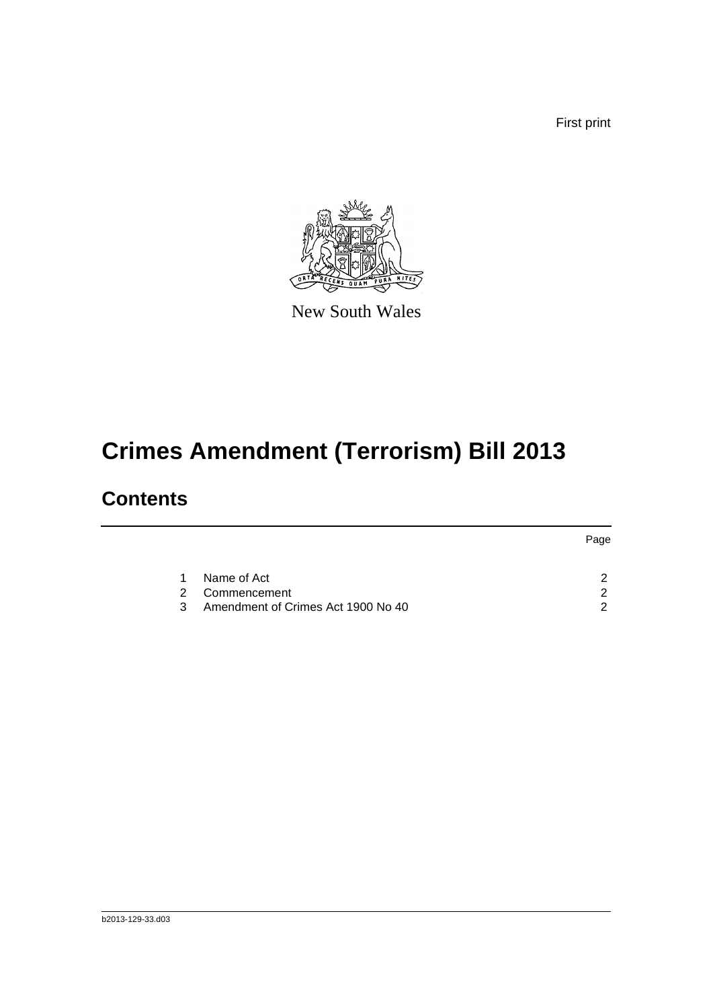First print



New South Wales

# **Crimes Amendment (Terrorism) Bill 2013**

### **Contents**

|    |                                    | Page |
|----|------------------------------------|------|
|    |                                    |      |
| 1  | Name of Act                        |      |
| 2. | Commencement                       | ◠    |
| 3  | Amendment of Crimes Act 1900 No 40 | ◠    |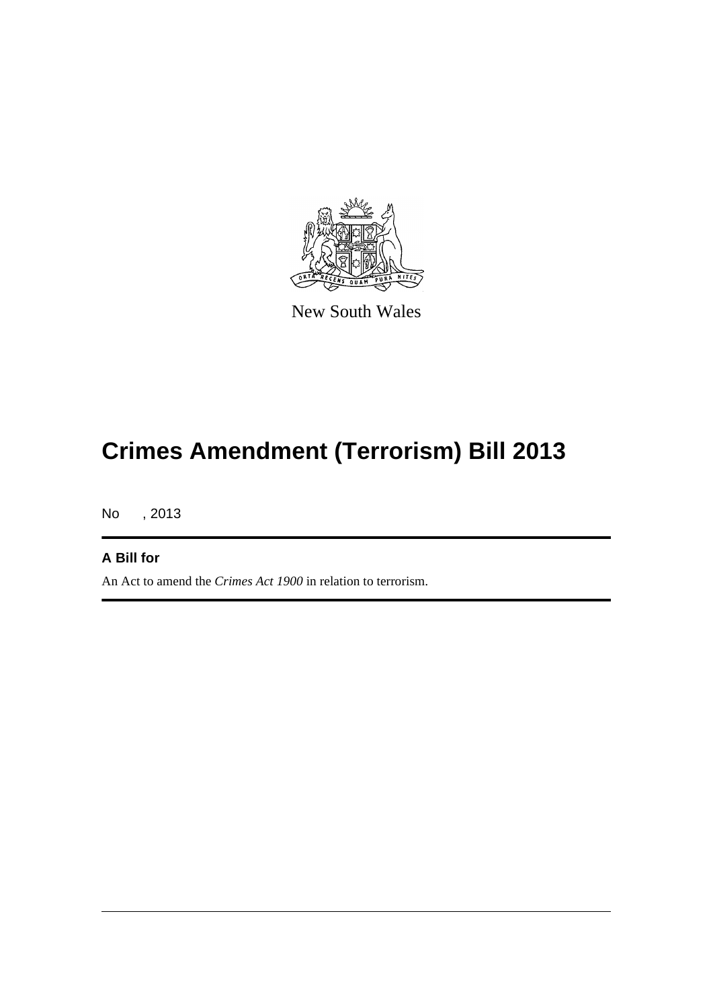

New South Wales

# **Crimes Amendment (Terrorism) Bill 2013**

No , 2013

#### **A Bill for**

An Act to amend the *Crimes Act 1900* in relation to terrorism.